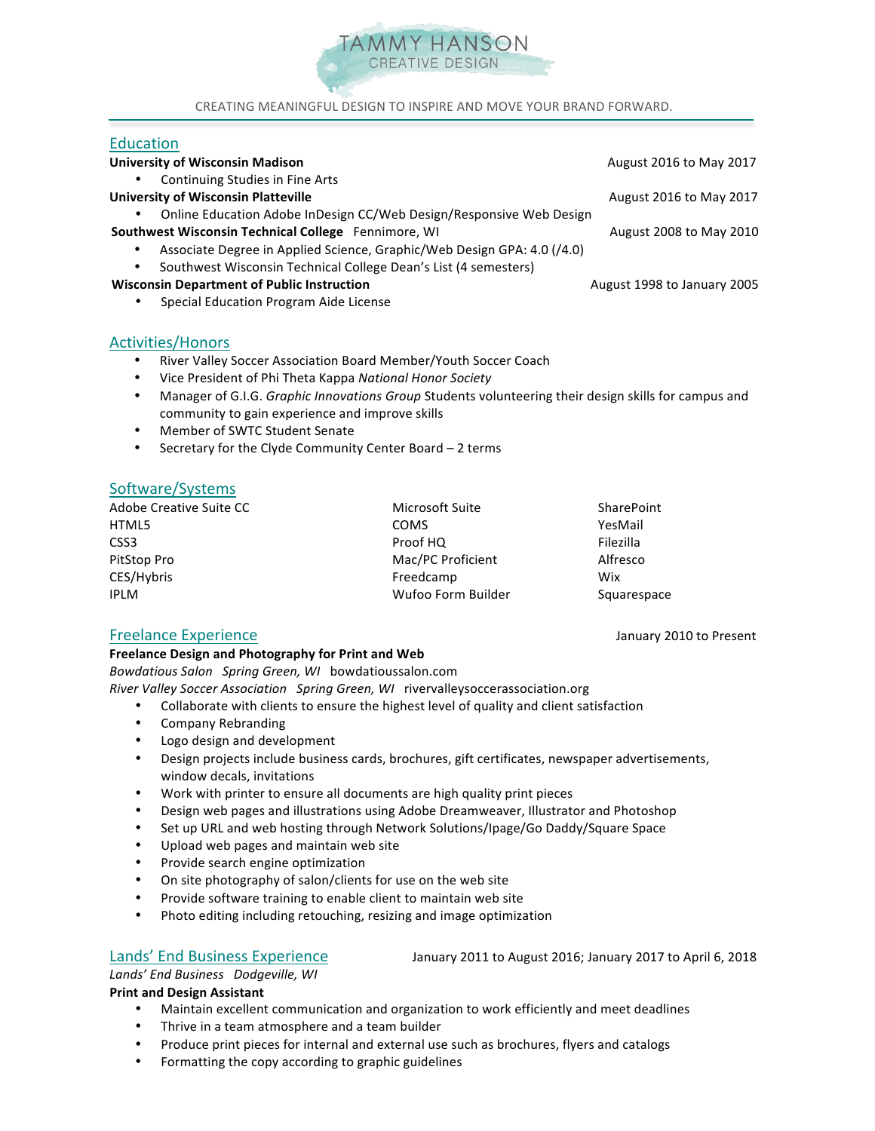

CREATING MEANINGFUL DESIGN TO INSPIRE AND MOVE YOUR BRAND FORWARD.

## Education

ī

| <b>University of Wisconsin Madison</b>                                   | August 2016 to May 2017     |
|--------------------------------------------------------------------------|-----------------------------|
| Continuing Studies in Fine Arts<br>٠                                     |                             |
| <b>University of Wisconsin Platteville</b>                               | August 2016 to May 2017     |
| Online Education Adobe InDesign CC/Web Design/Responsive Web Design<br>٠ |                             |
| Southwest Wisconsin Technical College Fennimore, WI                      | August 2008 to May 2010     |
| Associate Degree in Applied Science, Graphic/Web Design GPA: 4.0 (/4.0)  |                             |
| Southwest Wisconsin Technical College Dean's List (4 semesters)          |                             |
| <b>Wisconsin Department of Public Instruction</b>                        | August 1998 to January 2005 |
| Special Education Program Aide License<br>٠                              |                             |
|                                                                          |                             |

# Activities/Honors

- River Valley Soccer Association Board Member/Youth Soccer Coach
- Vice President of Phi Theta Kappa *National Honor Society*
- Manager of G.I.G. *Graphic Innovations Group* Students volunteering their design skills for campus and community to gain experience and improve skills
- Member of SWTC Student Senate
- Secretary for the Clyde Community Center Board  $-2$  terms

# Software/Systems

| Adobe Creative Suite CC | Microsoft Suite    | <b>SharePoint</b> |
|-------------------------|--------------------|-------------------|
| HTML5                   | <b>COMS</b>        | YesMail           |
| CSS3                    | Proof HQ           | Filezilla         |
| PitStop Pro             | Mac/PC Proficient  | Alfresco          |
| CES/Hybris              | Freedcamp          | Wix               |
| <b>IPLM</b>             | Wufoo Form Builder | Squarespace       |

## Freelance Experience January 2010 to Present

## **Freelance Design and Photography for Print and Web**

*Bowdatious Salon Spring Green, WI* bowdatioussalon.com

*River Valley Soccer Association Spring Green, WI rivervalleysoccerassociation.org* 

- Collaborate with clients to ensure the highest level of quality and client satisfaction
- Company Rebranding
- Logo design and development
- Design projects include business cards, brochures, gift certificates, newspaper advertisements, window decals, invitations
- Work with printer to ensure all documents are high quality print pieces
- Design web pages and illustrations using Adobe Dreamweaver, Illustrator and Photoshop
- Set up URL and web hosting through Network Solutions/Ipage/Go Daddy/Square Space
- Upload web pages and maintain web site
- Provide search engine optimization
- On site photography of salon/clients for use on the web site
- Provide software training to enable client to maintain web site
- Photo editing including retouching, resizing and image optimization

## Lands' End Business Experience January 2011 to August 2016; January 2017 to April 6, 2018

*Lands' End Business Dodgeville, WI* **Print and Design Assistant** 

- Maintain excellent communication and organization to work efficiently and meet deadlines
- Thrive in a team atmosphere and a team builder
- Produce print pieces for internal and external use such as brochures, flyers and catalogs
- Formatting the copy according to graphic guidelines